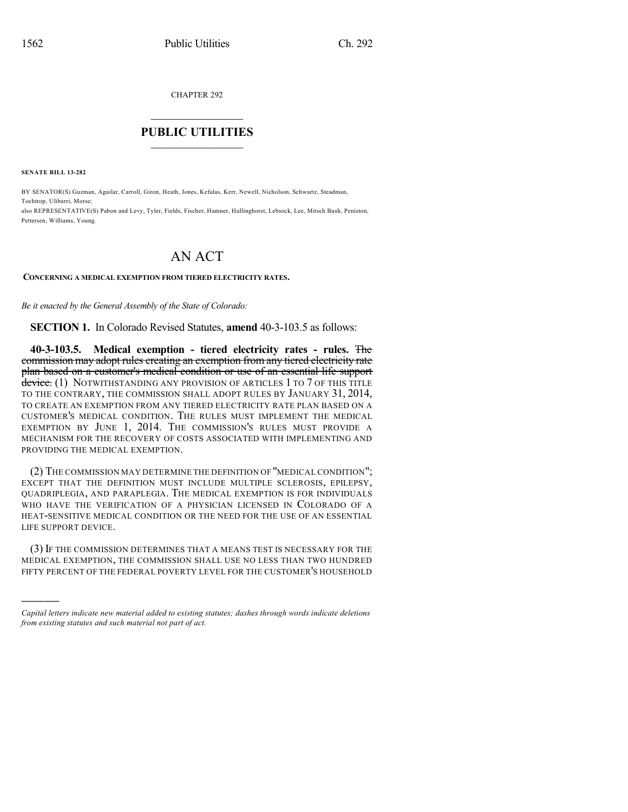CHAPTER 292

## $\overline{\phantom{a}}$  . The set of the set of the set of the set of the set of the set of the set of the set of the set of the set of the set of the set of the set of the set of the set of the set of the set of the set of the set o **PUBLIC UTILITIES** \_\_\_\_\_\_\_\_\_\_\_\_\_\_\_

**SENATE BILL 13-282**

)))))

BY SENATOR(S) Guzman, Aguilar, Carroll, Giron, Heath, Jones, Kefalas, Kerr, Newell, Nicholson, Schwartz, Steadman, Tochtrop, Ulibarri, Morse; also REPRESENTATIVE(S) Pabon and Levy, Tyler, Fields, Fischer, Hamner, Hullinghorst, Lebsock, Lee, Mitsch Bush, Peniston, Pettersen, Williams, Young.

## AN ACT

## **CONCERNING A MEDICAL EXEMPTION FROM TIERED ELECTRICITY RATES.**

*Be it enacted by the General Assembly of the State of Colorado:*

**SECTION 1.** In Colorado Revised Statutes, **amend** 40-3-103.5 as follows:

**40-3-103.5. Medical exemption - tiered electricity rates - rules.** The commission may adopt rules creating an exemption from any tiered electricity rate plan based on a customer's medical condition or use of an essential life support device. (1) NOTWITHSTANDING ANY PROVISION OF ARTICLES 1 TO 7 OF THIS TITLE TO THE CONTRARY, THE COMMISSION SHALL ADOPT RULES BY JANUARY 31, 2014, TO CREATE AN EXEMPTION FROM ANY TIERED ELECTRICITY RATE PLAN BASED ON A CUSTOMER'S MEDICAL CONDITION. THE RULES MUST IMPLEMENT THE MEDICAL EXEMPTION BY JUNE 1, 2014. THE COMMISSION'S RULES MUST PROVIDE A MECHANISM FOR THE RECOVERY OF COSTS ASSOCIATED WITH IMPLEMENTING AND PROVIDING THE MEDICAL EXEMPTION.

(2) THE COMMISSION MAY DETERMINE THE DEFINITION OF "MEDICAL CONDITION"; EXCEPT THAT THE DEFINITION MUST INCLUDE MULTIPLE SCLEROSIS, EPILEPSY, QUADRIPLEGIA, AND PARAPLEGIA. THE MEDICAL EXEMPTION IS FOR INDIVIDUALS WHO HAVE THE VERIFICATION OF A PHYSICIAN LICENSED IN COLORADO OF A HEAT-SENSITIVE MEDICAL CONDITION OR THE NEED FOR THE USE OF AN ESSENTIAL LIFE SUPPORT DEVICE.

(3) IF THE COMMISSION DETERMINES THAT A MEANS TEST IS NECESSARY FOR THE MEDICAL EXEMPTION, THE COMMISSION SHALL USE NO LESS THAN TWO HUNDRED FIFTY PERCENT OF THE FEDERAL POVERTY LEVEL FOR THE CUSTOMER'S HOUSEHOLD

*Capital letters indicate new material added to existing statutes; dashes through words indicate deletions from existing statutes and such material not part of act.*